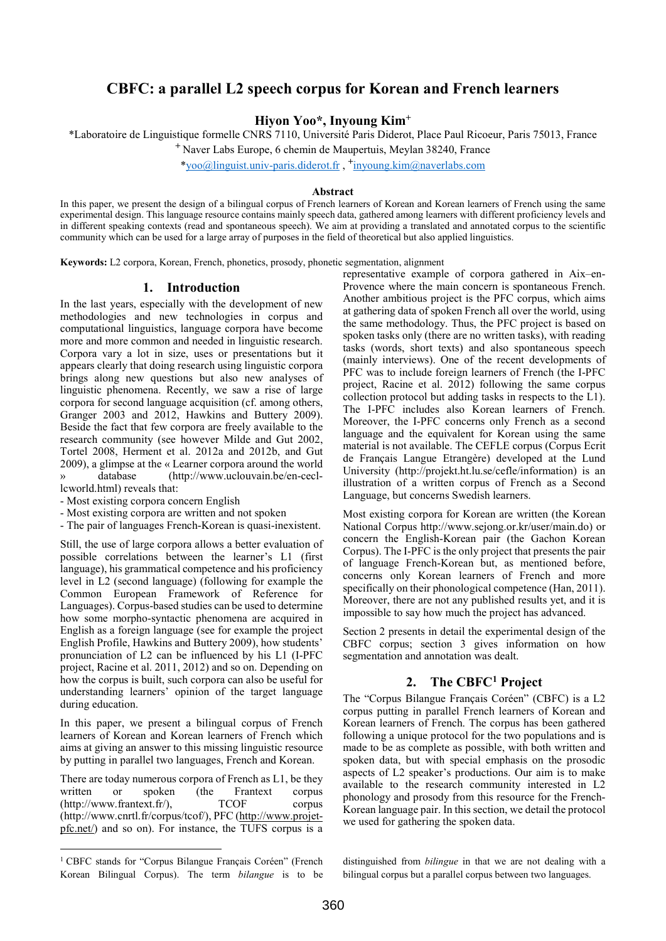# CBFC: a parallel L2 speech corpus for Korean and French learners

Hiyon Yoo\*, Inyoung Kim<sup>+</sup>

\*Laboratoire de Linguistique formelle CNRS 7110, Université Paris Diderot, Place Paul Ricoeur, Paris 75013, France

<sup>+</sup>Naver Labs Europe, 6 chemin de Maupertuis, Meylan 38240, France

\*yoo@linguist.univ-paris.diderot.fr , + inyoung.kim@naverlabs.com

#### Abstract

In this paper, we present the design of a bilingual corpus of French learners of Korean and Korean learners of French using the same experimental design. This language resource contains mainly speech data, gathered among learners with different proficiency levels and in different speaking contexts (read and spontaneous speech). We aim at providing a translated and annotated corpus to the scientific community which can be used for a large array of purposes in the field of theoretical but also applied linguistics.

Keywords: L2 corpora, Korean, French, phonetics, prosody, phonetic segmentation, alignment

#### 1. Introduction

In the last years, especially with the development of new methodologies and new technologies in corpus and computational linguistics, language corpora have become more and more common and needed in linguistic research. Corpora vary a lot in size, uses or presentations but it appears clearly that doing research using linguistic corpora brings along new questions but also new analyses of linguistic phenomena. Recently, we saw a rise of large corpora for second language acquisition (cf. among others, Granger 2003 and 2012, Hawkins and Buttery 2009). Beside the fact that few corpora are freely available to the research community (see however Milde and Gut 2002, Tortel 2008, Herment et al. 2012a and 2012b, and Gut 2009), a glimpse at the « Learner corpora around the world » database (http://www.uclouvain.be/en-cecllcworld.html) reveals that:

- Most existing corpora concern English

- Most existing corpora are written and not spoken

- The pair of languages French-Korean is quasi-inexistent.

Still, the use of large corpora allows a better evaluation of possible correlations between the learner's L1 (first language), his grammatical competence and his proficiency level in L2 (second language) (following for example the Common European Framework of Reference for Languages). Corpus-based studies can be used to determine how some morpho-syntactic phenomena are acquired in English as a foreign language (see for example the project English Profile, Hawkins and Buttery 2009), how students' pronunciation of L2 can be influenced by his L1 (I-PFC project, Racine et al. 2011, 2012) and so on. Depending on how the corpus is built, such corpora can also be useful for understanding learners' opinion of the target language during education.

In this paper, we present a bilingual corpus of French learners of Korean and Korean learners of French which aims at giving an answer to this missing linguistic resource by putting in parallel two languages, French and Korean.

There are today numerous corpora of French as L1, be they written or spoken (the Frantext corpus (http://www.frantext.fr/), TCOF corpus (http://www.cnrtl.fr/corpus/tcof/), PFC (http://www.projetpfc.net/) and so on). For instance, the TUFS corpus is a

 $\overline{a}$ 

representative example of corpora gathered in Aix–en-Provence where the main concern is spontaneous French. Another ambitious project is the PFC corpus, which aims at gathering data of spoken French all over the world, using the same methodology. Thus, the PFC project is based on spoken tasks only (there are no written tasks), with reading tasks (words, short texts) and also spontaneous speech (mainly interviews). One of the recent developments of PFC was to include foreign learners of French (the I-PFC project, Racine et al. 2012) following the same corpus collection protocol but adding tasks in respects to the L1). The I-PFC includes also Korean learners of French. Moreover, the I-PFC concerns only French as a second language and the equivalent for Korean using the same material is not available. The CEFLE corpus (Corpus Ecrit de Français Langue Etrangère) developed at the Lund University (http://projekt.ht.lu.se/cefle/information) is an illustration of a written corpus of French as a Second Language, but concerns Swedish learners.

Most existing corpora for Korean are written (the Korean National Corpus http://www.sejong.or.kr/user/main.do) or concern the English-Korean pair (the Gachon Korean Corpus). The I-PFC is the only project that presents the pair of language French-Korean but, as mentioned before, concerns only Korean learners of French and more specifically on their phonological competence (Han, 2011). Moreover, there are not any published results yet, and it is impossible to say how much the project has advanced.

Section 2 presents in detail the experimental design of the CBFC corpus; section 3 gives information on how segmentation and annotation was dealt.

## 2. The CBFC<sup>1</sup> Project

The "Corpus Bilangue Français Coréen" (CBFC) is a L2 corpus putting in parallel French learners of Korean and Korean learners of French. The corpus has been gathered following a unique protocol for the two populations and is made to be as complete as possible, with both written and spoken data, but with special emphasis on the prosodic aspects of L2 speaker's productions. Our aim is to make available to the research community interested in L2 phonology and prosody from this resource for the French-Korean language pair. In this section, we detail the protocol we used for gathering the spoken data.

distinguished from bilingue in that we are not dealing with a bilingual corpus but a parallel corpus between two languages.

<sup>&</sup>lt;sup>1</sup> CBFC stands for "Corpus Bilangue Français Coréen" (French Korean Bilingual Corpus). The term bilangue is to be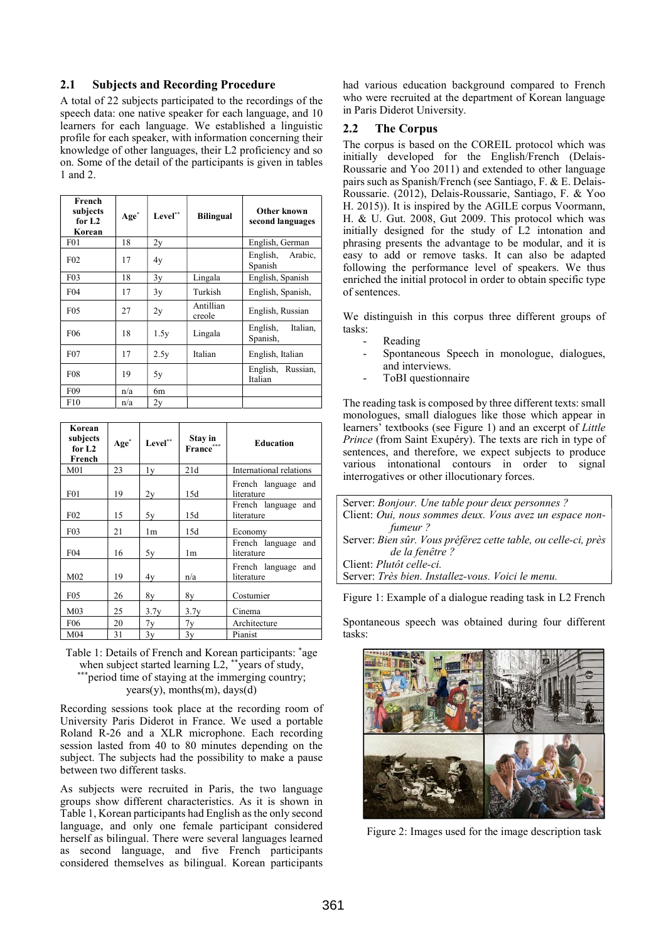### 2.1 Subjects and Recording Procedure

A total of 22 subjects participated to the recordings of the speech data: one native speaker for each language, and 10 learners for each language. We established a linguistic profile for each speaker, with information concerning their knowledge of other languages, their L2 proficiency and so on. Some of the detail of the participants is given in tables 1 and 2.

| French<br>subjects<br>for $L2$<br>Korean | $Age^*$ | Level** | <b>Bilingual</b>    | Other known<br>second languages  |
|------------------------------------------|---------|---------|---------------------|----------------------------------|
| F01                                      | 18      | 2y      |                     | English, German                  |
| F <sub>02</sub>                          | 17      | 4y      |                     | English, Arabic,<br>Spanish      |
| F03                                      | 18      | 3y      | Lingala             | English, Spanish                 |
| F04                                      | 17      | 3y      | Turkish             | English, Spanish,                |
| F <sub>05</sub>                          | 27      | 2y      | Antillian<br>creole | English, Russian                 |
| F <sub>06</sub>                          | 18      | 1.5y    | Lingala             | English,<br>Italian,<br>Spanish, |
| F07                                      | 17      | 2.5y    | Italian             | English, Italian                 |
| <b>F08</b>                               | 19      | 5y      |                     | English, Russian,<br>Italian     |
| F09                                      | n/a     | 6m      |                     |                                  |
| F10                                      | n/a     | 2y      |                     |                                  |

| Korean<br>subjects<br>for $L2$<br>French | Age <sup>*</sup> | ${\rm Level}^{**}$ | Stay in<br>France" | <b>Education</b>                     |
|------------------------------------------|------------------|--------------------|--------------------|--------------------------------------|
| M <sub>01</sub>                          | 23               | 1y                 | 21d                | International relations              |
| F01                                      | 19               | 2y                 | 15d                | French language and<br>literature    |
| F <sub>02</sub>                          | 15               | 5y                 | 15d                | French language<br>and<br>literature |
| F <sub>03</sub>                          | 21               | 1m                 | 15d                | Economy                              |
| F <sub>04</sub>                          | 16               | 5v                 | 1m                 | French language<br>and<br>literature |
| M <sub>02</sub>                          | 19               | 4y                 | n/a                | French language<br>and<br>literature |
| F05                                      | 26               | 8y                 | 8y                 | Costumier                            |
| M <sub>03</sub>                          | 25               | 3.7y               | 3.7y               | Cinema                               |
| F06                                      | 20               | 7y                 | 7y                 | Architecture                         |
| M <sub>04</sub>                          | 31               | 3y                 | 3y                 | Pianist                              |

Table 1: Details of French and Korean participants: \*age when subject started learning L2, \*\* years of study, \*period time of staying at the immerging country;  $years(y)$ , months(m), days(d)

Recording sessions took place at the recording room of University Paris Diderot in France. We used a portable Roland R-26 and a XLR microphone. Each recording session lasted from 40 to 80 minutes depending on the subject. The subjects had the possibility to make a pause between two different tasks.

As subjects were recruited in Paris, the two language groups show different characteristics. As it is shown in Table 1, Korean participants had English as the only second language, and only one female participant considered herself as bilingual. There were several languages learned as second language, and five French participants considered themselves as bilingual. Korean participants

had various education background compared to French who were recruited at the department of Korean language in Paris Diderot University.

#### 2.2 The Corpus

The corpus is based on the COREIL protocol which was initially developed for the English/French (Delais-Roussarie and Yoo 2011) and extended to other language pairs such as Spanish/French (see Santiago, F. & E. Delais-Roussarie. (2012), Delais-Roussarie, Santiago, F. & Yoo H. 2015)). It is inspired by the AGILE corpus Voormann, H. & U. Gut. 2008, Gut 2009. This protocol which was initially designed for the study of L2 intonation and phrasing presents the advantage to be modular, and it is easy to add or remove tasks. It can also be adapted following the performance level of speakers. We thus enriched the initial protocol in order to obtain specific type of sentences.

We distinguish in this corpus three different groups of tasks:

- **Reading**
- Spontaneous Speech in monologue, dialogues, and interviews.
- ToBI questionnaire

The reading task is composed by three different texts: small monologues, small dialogues like those which appear in learners' textbooks (see Figure 1) and an excerpt of Little Prince (from Saint Exupéry). The texts are rich in type of sentences, and therefore, we expect subjects to produce various intonational contours in order to signal interrogatives or other illocutionary forces.

| Server: Bonjour. Une table pour deux personnes ?               |
|----------------------------------------------------------------|
| Client: Oui, nous sommes deux. Vous avez un espace non-        |
| fumeur?                                                        |
| Server: Bien sûr. Vous préférez cette table, ou celle-ci, près |
| de la fenêtre ?                                                |
| Client: <i>Plutôt celle-ci</i> .                               |
| Server: Très bien. Installez-vous. Voici le menu.              |

Figure 1: Example of a dialogue reading task in L2 French

Spontaneous speech was obtained during four different tasks:



Figure 2: Images used for the image description task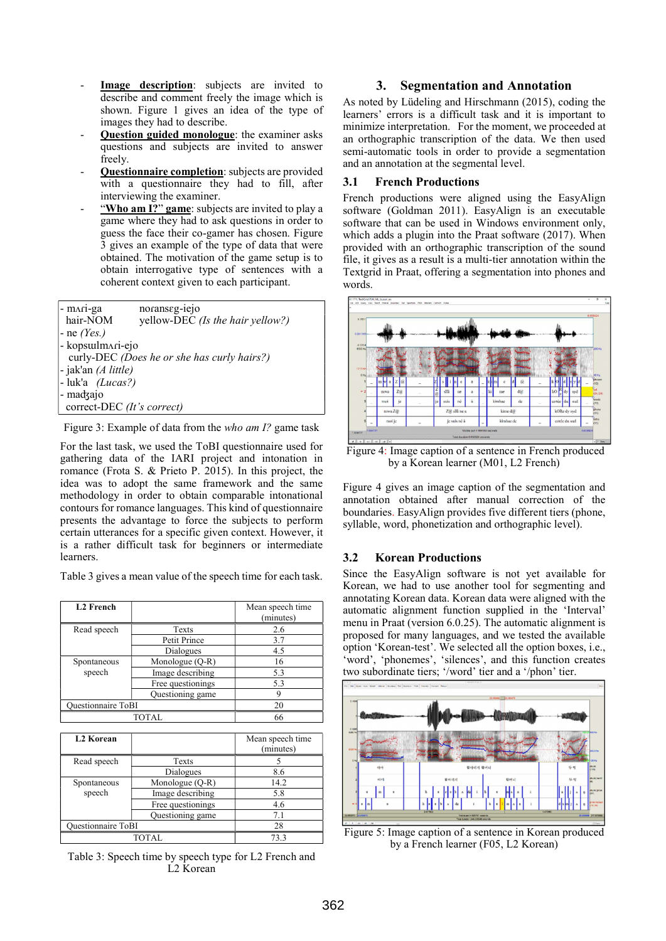- Image description: subjects are invited to describe and comment freely the image which is shown. Figure 1 gives an idea of the type of images they had to describe.
- Question guided monologue: the examiner asks questions and subjects are invited to answer freely.
- Questionnaire completion: subjects are provided with a questionnaire they had to fill, after interviewing the examiner.
- "Who am I?" game: subjects are invited to play a game where they had to ask questions in order to guess the face their co-gamer has chosen. Figure 3 gives an example of the type of data that were obtained. The motivation of the game setup is to obtain interrogative type of sentences with a coherent context given to each participant.

| - mari-ga<br>hair-NOM      | noranseg-iejo<br>yellow-DEC (Is the hair yellow?) |
|----------------------------|---------------------------------------------------|
| $-$ ne (Yes.)              |                                                   |
| - kopsulmari-ejo           |                                                   |
|                            | curly-DEC (Does he or she has curly hairs?)       |
| - jak'an (A little)        |                                                   |
| $-$ luk'a (Lucas?)         |                                                   |
| - madzajo                  |                                                   |
| correct-DEC (It's correct) |                                                   |

Figure 3: Example of data from the who am I? game task

For the last task, we used the ToBI questionnaire used for gathering data of the IARI project and intonation in romance (Frota S. & Prieto P. 2015). In this project, the idea was to adopt the same framework and the same methodology in order to obtain comparable intonational contours for romance languages. This kind of questionnaire presents the advantage to force the subjects to perform certain utterances for a specific given context. However, it is a rather difficult task for beginners or intermediate learners.

Table 3 gives a mean value of the speech time for each task.

| <b>L2</b> French          |                   | Mean speech time<br>(minutes) |
|---------------------------|-------------------|-------------------------------|
| Read speech               | Texts             | 2.6                           |
|                           | Petit Prince      | 3.7                           |
|                           | Dialogues         | 4.5                           |
| Spontaneous               | Monologue (Q-R)   | 16                            |
| speech                    | Image describing  | 5.3                           |
|                           | Free questionings | 5.3                           |
|                           | Questioning game  |                               |
| <b>Ouestionnaire ToBI</b> |                   | 20                            |
| TOTAL.                    |                   | 66                            |

| <b>L2 Korean</b>          |                   | Mean speech time<br>(minutes) |
|---------------------------|-------------------|-------------------------------|
| Read speech               | Texts             |                               |
|                           | Dialogues         | 8.6                           |
| Spontaneous               | Monologue (Q-R)   | 14.2                          |
| speech                    | Image describing  | 5.8                           |
|                           | Free questionings | 4.6                           |
|                           | Ouestioning game  | 7.1                           |
| <b>Ouestionnaire ToBI</b> |                   | 28                            |
| TOTAL                     |                   | 73.3                          |

Table 3: Speech time by speech type for L2 French and L2 Korean

### 3. Segmentation and Annotation

As noted by Lüdeling and Hirschmann (2015), coding the learners' errors is a difficult task and it is important to minimize interpretation. For the moment, we proceeded at an orthographic transcription of the data. We then used semi-automatic tools in order to provide a segmentation and an annotation at the segmental level.

### 3.1 French Productions

French productions were aligned using the EasyAlign software (Goldman 2011). EasyAlign is an executable software that can be used in Windows environment only, which adds a plugin into the Praat software (2017). When provided with an orthographic transcription of the sound file, it gives as a result is a multi-tier annotation within the Textgrid in Praat, offering a segmentation into phones and words.



by a Korean learner (M01, L2 French)

Figure 4 gives an image caption of the segmentation and annotation obtained after manual correction of the boundaries. EasyAlign provides five different tiers (phone, syllable, word, phonetization and orthographic level).

# 3.2 Korean Productions

Since the EasyAlign software is not yet available for Korean, we had to use another tool for segmenting and annotating Korean data. Korean data were aligned with the automatic alignment function supplied in the 'Interval' menu in Praat (version 6.0.25). The automatic alignment is proposed for many languages, and we tested the available option 'Korean-test'. We selected all the option boxes, i.e., 'word', 'phonemes', 'silences', and this function creates two subordinate tiers; '/word' tier and a '/phon' tier.



Figure 5: Image caption of a sentence in Korean produced by a French learner (F05, L2 Korean)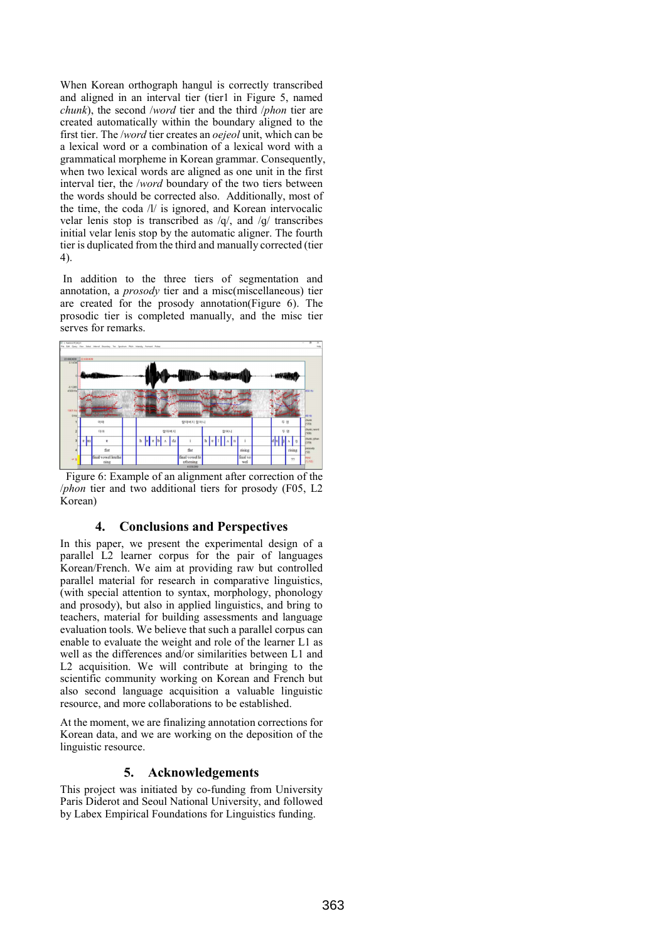When Korean orthograph hangul is correctly transcribed and aligned in an interval tier (tier1 in Figure 5, named chunk), the second /word tier and the third /phon tier are created automatically within the boundary aligned to the first tier. The /word tier creates an oejeol unit, which can be a lexical word or a combination of a lexical word with a grammatical morpheme in Korean grammar. Consequently, when two lexical words are aligned as one unit in the first interval tier, the /word boundary of the two tiers between the words should be corrected also. Additionally, most of the time, the coda /l/ is ignored, and Korean intervocalic velar lenis stop is transcribed as /q/, and /ɡ/ transcribes initial velar lenis stop by the automatic aligner. The fourth tier is duplicated from the third and manually corrected (tier 4).

 In addition to the three tiers of segmentation and annotation, a prosody tier and a misc(miscellaneous) tier are created for the prosody annotation(Figure 6). The prosodic tier is completed manually, and the misc tier serves for remarks.



 Figure 6: Example of an alignment after correction of the /phon tier and two additional tiers for prosody (F05, L2 Korean)

### 4. Conclusions and Perspectives

In this paper, we present the experimental design of a parallel L2 learner corpus for the pair of languages Korean/French. We aim at providing raw but controlled parallel material for research in comparative linguistics, (with special attention to syntax, morphology, phonology and prosody), but also in applied linguistics, and bring to teachers, material for building assessments and language evaluation tools. We believe that such a parallel corpus can enable to evaluate the weight and role of the learner L1 as well as the differences and/or similarities between L1 and L2 acquisition. We will contribute at bringing to the scientific community working on Korean and French but also second language acquisition a valuable linguistic resource, and more collaborations to be established.

At the moment, we are finalizing annotation corrections for Korean data, and we are working on the deposition of the linguistic resource.

### 5. Acknowledgements

This project was initiated by co-funding from University Paris Diderot and Seoul National University, and followed by Labex Empirical Foundations for Linguistics funding.